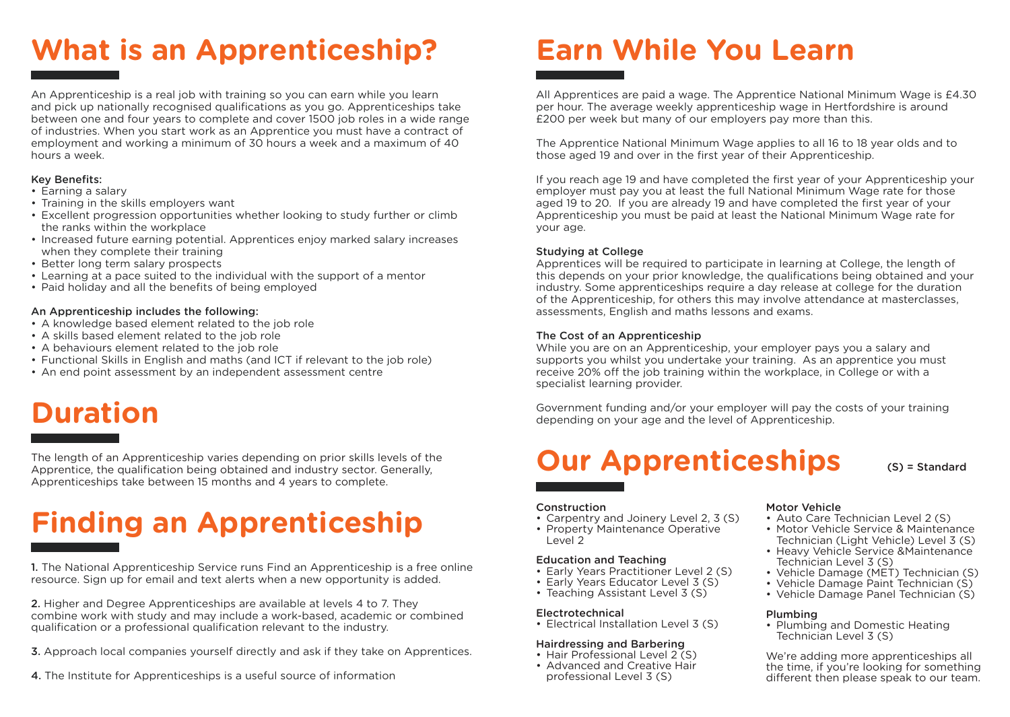# **What is an Apprenticeship?**

An Apprenticeship is a real job with training so you can earn while you learn and pick up nationally recognised qualifications as you go. Apprenticeships take between one and four years to complete and cover 1500 job roles in a wide range of industries. When you start work as an Apprentice you must have a contract of employment and working a minimum of 30 hours a week and a maximum of 40 hours a week.

### Key Benefits:

- Earning a salary
- Training in the skills employers want
- Excellent progression opportunities whether looking to study further or climb the ranks within the workplace
- Increased future earning potential. Apprentices enjoy marked salary increases when they complete their training
- Better long term salary prospects
- Learning at a pace suited to the individual with the support of a mentor
- Paid holiday and all the benefits of being employed

### An Apprenticeship includes the following:

- A knowledge based element related to the job role
- A skills based element related to the job role
- A behaviours element related to the job role
- Functional Skills in English and maths (and ICT if relevant to the job role)
- An end point assessment by an independent assessment centre

# **Duration**

The length of an Apprenticeship varies depending on prior skills levels of the Apprentice, the qualification being obtained and industry sector. Generally, Apprenticeships take between 15 months and 4 years to complete.

# **Finding an Apprenticeship**

1. The National Apprenticeship Service runs Find an Apprenticeship is a free online resource. Sign up for email and text alerts when a new opportunity is added.

2. Higher and Degree Apprenticeships are available at levels 4 to 7. They combine work with study and may include a work-based, academic or combined qualification or a professional qualification relevant to the industry.

- 3. Approach local companies yourself directly and ask if they take on Apprentices.
- 4. The Institute for Apprenticeships is a useful source of information

# **Earn While You Learn**

All Apprentices are paid a wage. The Apprentice National Minimum Wage is £4.30 per hour. The average weekly apprenticeship wage in Hertfordshire is around £200 per week but many of our employers pay more than this.

The Apprentice National Minimum Wage applies to all 16 to 18 year olds and to those aged 19 and over in the first year of their Apprenticeship.

If you reach age 19 and have completed the first year of your Apprenticeship your employer must pay you at least the full National Minimum Wage rate for those aged 19 to 20. If you are already 19 and have completed the first year of your Apprenticeship you must be paid at least the National Minimum Wage rate for your age.

### Studying at College

Apprentices will be required to participate in learning at College, the length of this depends on your prior knowledge, the qualifications being obtained and your industry. Some apprenticeships require a day release at college for the duration of the Apprenticeship, for others this may involve attendance at masterclasses, assessments, English and maths lessons and exams.

### The Cost of an Apprenticeship

While you are on an Apprenticeship, your employer pays you a salary and supports you whilst you undertake your training. As an apprentice you must receive 20% off the job training within the workplace, in College or with a specialist learning provider.

Government funding and/or your employer will pay the costs of your training depending on your age and the level of Apprenticeship.

## **Our Apprenticeships**

## (S) = Standard

## **Construction**

• Carpentry and Joinery Level 2, 3 (S) • Property Maintenance Operative Level 2

### Education and Teaching

- Early Years Practitioner Level 2 (S)
- Early Years Educator Level 3 (S)
- Teaching Assistant Level 3 (S)

### Electrotechnical

• Electrical Installation Level 3 (S)

### Hairdressing and Barbering

- Hair Professional Level 2 (S)
- Advanced and Creative Hair professional Level 3 (S)

Motor Vehicle

- Auto Care Technician Level 2 (S)
- Motor Vehicle Service & Maintenance Technician (Light Vehicle) Level 3 (S)
- Heavy Vehicle Service & Maintenance Technician Level 3 (S)
- Vehicle Damage (MET) Technician (S)
- Vehicle Damage Paint Technician (S)
- Vehicle Damage Panel Technician (S)

### Plumbing

• Plumbing and Domestic Heating Technician Level 3 (S)

We're adding more apprenticeships all the time, if you're looking for something different then please speak to our team.